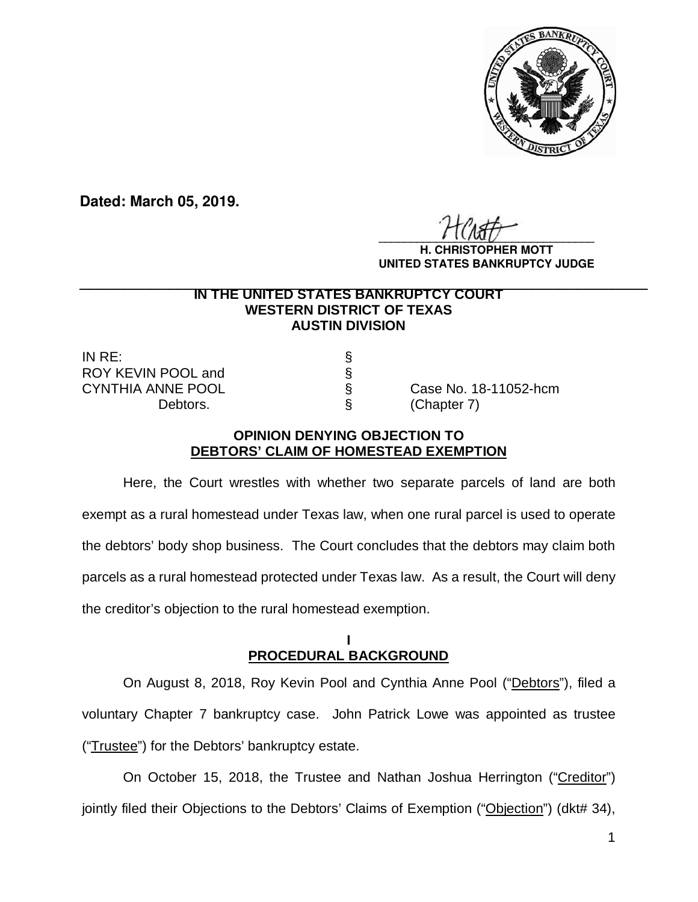

**Dated: March 05, 2019.**

 $\frac{1}{2}$ 

**H. CHRISTOPHER MOTT UNITED STATES BANKRUPTCY JUDGE**

### **IN THE UNITED STATES BANKRUPTCY COURT WESTERN DISTRICT OF TEXAS AUSTIN DIVISION \_\_\_\_\_\_\_\_\_\_\_\_\_\_\_\_\_\_\_\_\_\_\_\_\_\_\_\_\_\_\_\_\_\_\_\_\_\_\_\_\_\_\_\_\_\_\_\_\_\_\_\_\_\_\_\_\_\_\_\_\_\_\_\_**

IN RE: § ROY KEVIN POOL and<br>CYNTHIA ANNE POOL Debtors.  $\S$  (Chapter 7)

Case No. 18-11052-hcm

## **OPINION DENYING OBJECTION TO DEBTORS' CLAIM OF HOMESTEAD EXEMPTION**

Here, the Court wrestles with whether two separate parcels of land are both exempt as a rural homestead under Texas law, when one rural parcel is used to operate the debtors' body shop business. The Court concludes that the debtors may claim both parcels as a rural homestead protected under Texas law. As a result, the Court will deny the creditor's objection to the rural homestead exemption.

## **I PROCEDURAL BACKGROUND**

On August 8, 2018, Roy Kevin Pool and Cynthia Anne Pool ("Debtors"), filed a voluntary Chapter 7 bankruptcy case. John Patrick Lowe was appointed as trustee ("Trustee") for the Debtors' bankruptcy estate.

On October 15, 2018, the Trustee and Nathan Joshua Herrington ("Creditor") jointly filed their Objections to the Debtors' Claims of Exemption ("Objection") (dkt# 34),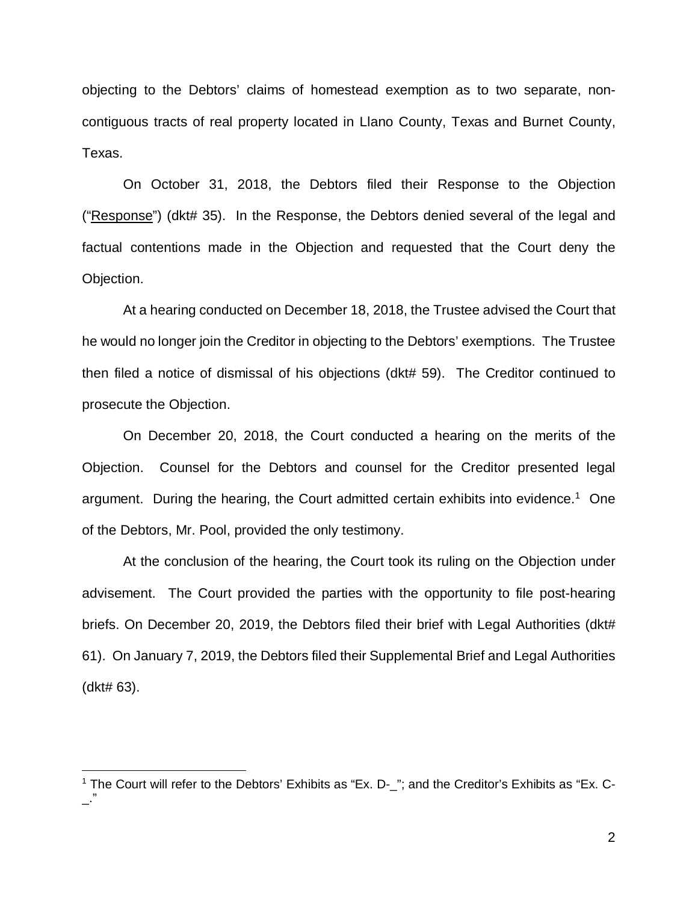objecting to the Debtors' claims of homestead exemption as to two separate, noncontiguous tracts of real property located in Llano County, Texas and Burnet County, Texas.

On October 31, 2018, the Debtors filed their Response to the Objection ("Response") (dkt# 35). In the Response, the Debtors denied several of the legal and factual contentions made in the Objection and requested that the Court deny the Objection.

At a hearing conducted on December 18, 2018, the Trustee advised the Court that he would no longer join the Creditor in objecting to the Debtors' exemptions. The Trustee then filed a notice of dismissal of his objections (dkt# 59). The Creditor continued to prosecute the Objection.

On December 20, 2018, the Court conducted a hearing on the merits of the Objection. Counsel for the Debtors and counsel for the Creditor presented legal argument. During the hearing, the Court admitted certain exhibits into evidence.<sup>1</sup> One of the Debtors, Mr. Pool, provided the only testimony.

At the conclusion of the hearing, the Court took its ruling on the Objection under advisement. The Court provided the parties with the opportunity to file post-hearing briefs. On December 20, 2019, the Debtors filed their brief with Legal Authorities (dkt# 61). On January 7, 2019, the Debtors filed their Supplemental Brief and Legal Authorities (dkt# 63).

 $\overline{a}$ 

<sup>&</sup>lt;sup>1</sup> The Court will refer to the Debtors' Exhibits as "Ex. D-\_"; and the Creditor's Exhibits as "Ex. C-\_."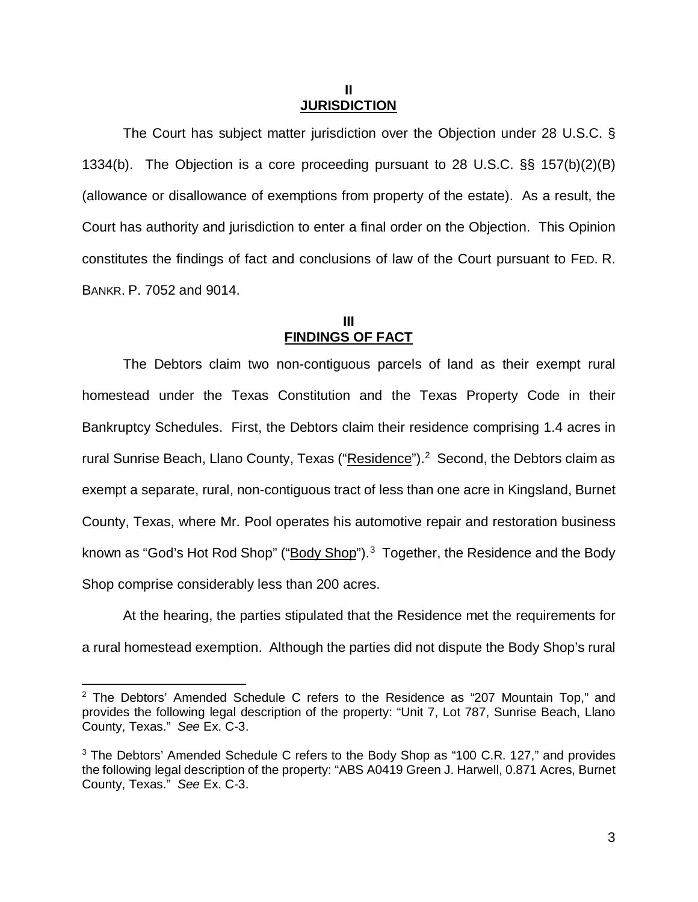#### **II JURISDICTION**

The Court has subject matter jurisdiction over the Objection under 28 U.S.C. § 1334(b). The Objection is a core proceeding pursuant to 28 U.S.C. §§ 157(b)(2)(B) (allowance or disallowance of exemptions from property of the estate). As a result, the Court has authority and jurisdiction to enter a final order on the Objection. This Opinion constitutes the findings of fact and conclusions of law of the Court pursuant to FED. R. BANKR. P. 7052 and 9014.

## **III FINDINGS OF FACT**

The Debtors claim two non-contiguous parcels of land as their exempt rural homestead under the Texas Constitution and the Texas Property Code in their Bankruptcy Schedules. First, the Debtors claim their residence comprising 1.4 acres in rural Sunrise Beach, Llano County, Texas ("Residence").<sup>2</sup> Second, the Debtors claim as exempt a separate, rural, non-contiguous tract of less than one acre in Kingsland, Burnet County, Texas, where Mr. Pool operates his automotive repair and restoration business known as "God's Hot Rod Shop" ("Body Shop").<sup>3</sup> Together, the Residence and the Body Shop comprise considerably less than 200 acres.

At the hearing, the parties stipulated that the Residence met the requirements for a rural homestead exemption. Although the parties did not dispute the Body Shop's rural

 $\overline{\phantom{a}}$ 

 $2$  The Debtors' Amended Schedule C refers to the Residence as "207 Mountain Top," and provides the following legal description of the property: "Unit 7, Lot 787, Sunrise Beach, Llano County, Texas." *See* Ex. C-3.

<sup>&</sup>lt;sup>3</sup> The Debtors' Amended Schedule C refers to the Body Shop as "100 C.R. 127," and provides the following legal description of the property: "ABS A0419 Green J. Harwell, 0.871 Acres, Burnet County, Texas." *See* Ex. C-3.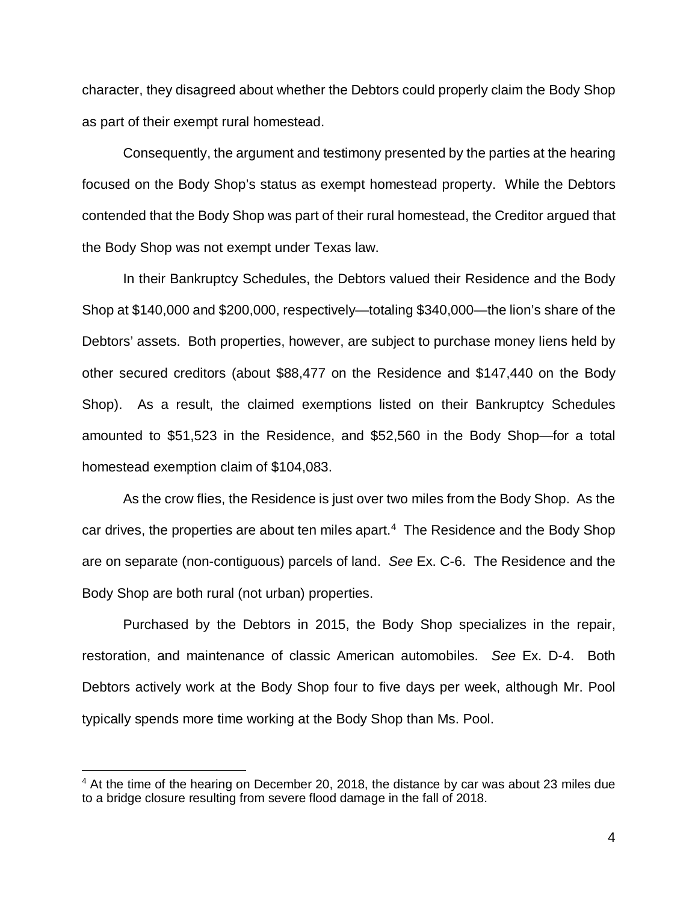character, they disagreed about whether the Debtors could properly claim the Body Shop as part of their exempt rural homestead.

Consequently, the argument and testimony presented by the parties at the hearing focused on the Body Shop's status as exempt homestead property. While the Debtors contended that the Body Shop was part of their rural homestead, the Creditor argued that the Body Shop was not exempt under Texas law.

In their Bankruptcy Schedules, the Debtors valued their Residence and the Body Shop at \$140,000 and \$200,000, respectively—totaling \$340,000—the lion's share of the Debtors' assets. Both properties, however, are subject to purchase money liens held by other secured creditors (about \$88,477 on the Residence and \$147,440 on the Body Shop). As a result, the claimed exemptions listed on their Bankruptcy Schedules amounted to \$51,523 in the Residence, and \$52,560 in the Body Shop—for a total homestead exemption claim of \$104,083.

As the crow flies, the Residence is just over two miles from the Body Shop. As the car drives, the properties are about ten miles apart. 4 The Residence and the Body Shop are on separate (non-contiguous) parcels of land. *See* Ex. C-6. The Residence and the Body Shop are both rural (not urban) properties.

Purchased by the Debtors in 2015, the Body Shop specializes in the repair, restoration, and maintenance of classic American automobiles. *See* Ex. D-4. Both Debtors actively work at the Body Shop four to five days per week, although Mr. Pool typically spends more time working at the Body Shop than Ms. Pool.

 $\overline{a}$ 

<sup>&</sup>lt;sup>4</sup> At the time of the hearing on December 20, 2018, the distance by car was about 23 miles due to a bridge closure resulting from severe flood damage in the fall of 2018.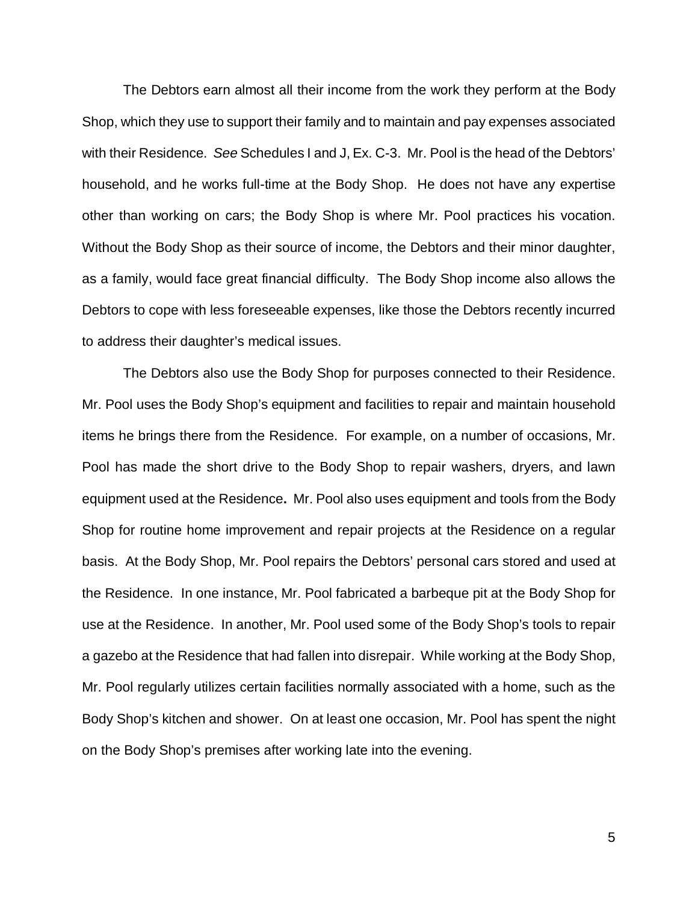The Debtors earn almost all their income from the work they perform at the Body Shop, which they use to support their family and to maintain and pay expenses associated with their Residence. *See* Schedules I and J, Ex. C-3. Mr. Pool is the head of the Debtors' household, and he works full-time at the Body Shop. He does not have any expertise other than working on cars; the Body Shop is where Mr. Pool practices his vocation. Without the Body Shop as their source of income, the Debtors and their minor daughter, as a family, would face great financial difficulty. The Body Shop income also allows the Debtors to cope with less foreseeable expenses, like those the Debtors recently incurred to address their daughter's medical issues.

The Debtors also use the Body Shop for purposes connected to their Residence. Mr. Pool uses the Body Shop's equipment and facilities to repair and maintain household items he brings there from the Residence. For example, on a number of occasions, Mr. Pool has made the short drive to the Body Shop to repair washers, dryers, and lawn equipment used at the Residence**.** Mr. Pool also uses equipment and tools from the Body Shop for routine home improvement and repair projects at the Residence on a regular basis. At the Body Shop, Mr. Pool repairs the Debtors' personal cars stored and used at the Residence. In one instance, Mr. Pool fabricated a barbeque pit at the Body Shop for use at the Residence. In another, Mr. Pool used some of the Body Shop's tools to repair a gazebo at the Residence that had fallen into disrepair. While working at the Body Shop, Mr. Pool regularly utilizes certain facilities normally associated with a home, such as the Body Shop's kitchen and shower. On at least one occasion, Mr. Pool has spent the night on the Body Shop's premises after working late into the evening.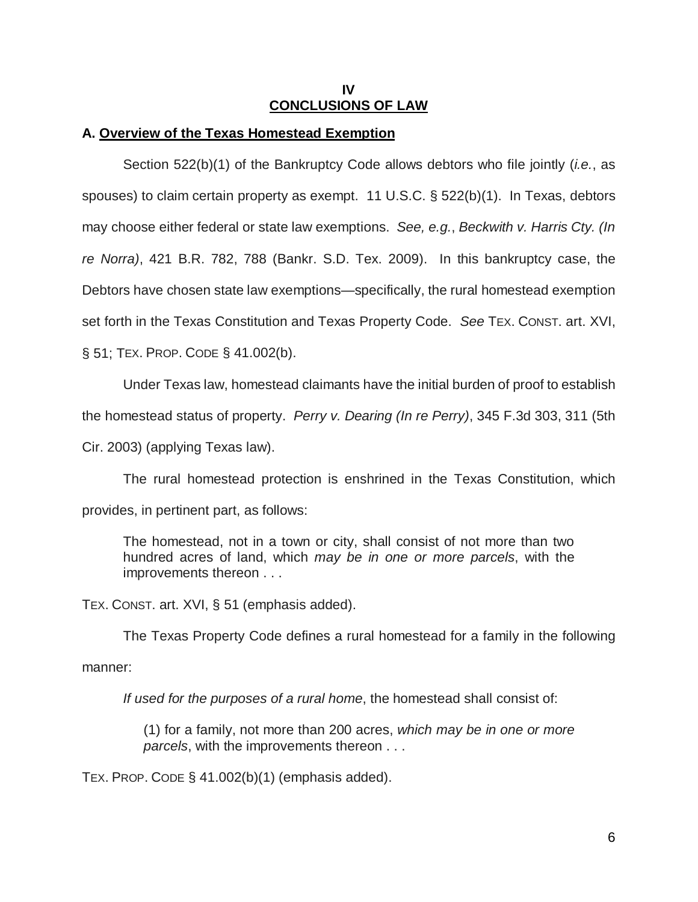### **IV CONCLUSIONS OF LAW**

### **A. Overview of the Texas Homestead Exemption**

Section 522(b)(1) of the Bankruptcy Code allows debtors who file jointly (*i.e.*, as spouses) to claim certain property as exempt. 11 U.S.C. § 522(b)(1). In Texas, debtors may choose either federal or state law exemptions. *See, e.g.*, *Beckwith v. Harris Cty. (In re Norra)*, 421 B.R. 782, 788 (Bankr. S.D. Tex. 2009). In this bankruptcy case, the Debtors have chosen state law exemptions—specifically, the rural homestead exemption set forth in the Texas Constitution and Texas Property Code. *See* TEX. CONST. art. XVI, § 51; TEX. PROP. CODE § 41.002(b).

Under Texas law, homestead claimants have the initial burden of proof to establish

the homestead status of property. *Perry v. Dearing (In re Perry)*, 345 F.3d 303, 311 (5th

Cir. 2003) (applying Texas law).

The rural homestead protection is enshrined in the Texas Constitution, which provides, in pertinent part, as follows:

The homestead, not in a town or city, shall consist of not more than two hundred acres of land, which *may be in one or more parcels*, with the improvements thereon . . .

TEX. CONST. art. XVI, § 51 (emphasis added).

The Texas Property Code defines a rural homestead for a family in the following

manner:

*If used for the purposes of a rural home*, the homestead shall consist of:

(1) for a family, not more than 200 acres, *which may be in one or more parcels*, with the improvements thereon . . .

TEX. PROP. CODE  $\S$  41.002(b)(1) (emphasis added).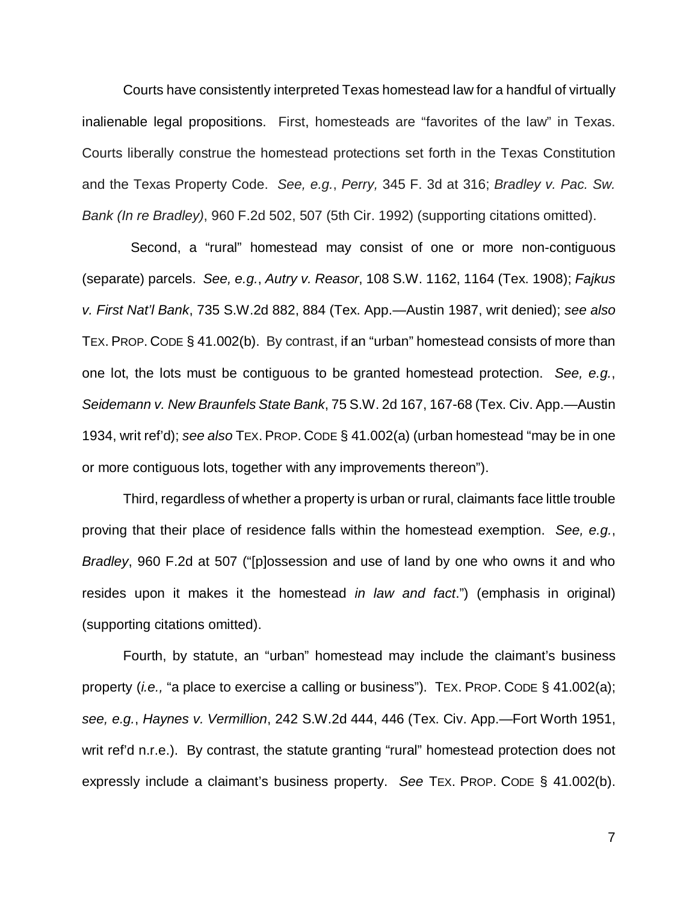Courts have consistently interpreted Texas homestead law for a handful of virtually inalienable legal propositions. First, homesteads are "favorites of the law" in Texas. Courts liberally construe the homestead protections set forth in the Texas Constitution and the Texas Property Code. *See, e.g.*, *Perry,* 345 F. 3d at 316; *Bradley v. Pac. Sw. Bank (In re Bradley)*, 960 F.2d 502, 507 (5th Cir. 1992) (supporting citations omitted).

 Second, a "rural" homestead may consist of one or more non-contiguous (separate) parcels. *See, e.g.*, *Autry v. Reasor*, 108 S.W. 1162, 1164 (Tex. 1908); *Fajkus v. First Nat'l Bank*, 735 S.W.2d 882, 884 (Tex. App.—Austin 1987, writ denied); *see also*  TEX. PROP. CODE § 41.002(b). By contrast, if an "urban" homestead consists of more than one lot, the lots must be contiguous to be granted homestead protection. *See, e.g.*, *Seidemann v. New Braunfels State Bank*, 75 S.W. 2d 167, 167-68 (Tex. Civ. App.—Austin 1934, writ ref'd); *see also* TEX. PROP. CODE § 41.002(a) (urban homestead "may be in one or more contiguous lots, together with any improvements thereon").

Third, regardless of whether a property is urban or rural, claimants face little trouble proving that their place of residence falls within the homestead exemption. *See, e.g.*, *Bradley*, 960 F.2d at 507 ("[p]ossession and use of land by one who owns it and who resides upon it makes it the homestead *in law and fact*.") (emphasis in original) (supporting citations omitted).

Fourth, by statute, an "urban" homestead may include the claimant's business property (*i.e.,* "a place to exercise a calling or business"). TEX. PROP. CODE § 41.002(a); *see, e.g.*, *Haynes v. Vermillion*, 242 S.W.2d 444, 446 (Tex. Civ. App.—Fort Worth 1951, writ ref'd n.r.e.). By contrast, the statute granting "rural" homestead protection does not expressly include a claimant's business property. *See* TEX. PROP. CODE § 41.002(b).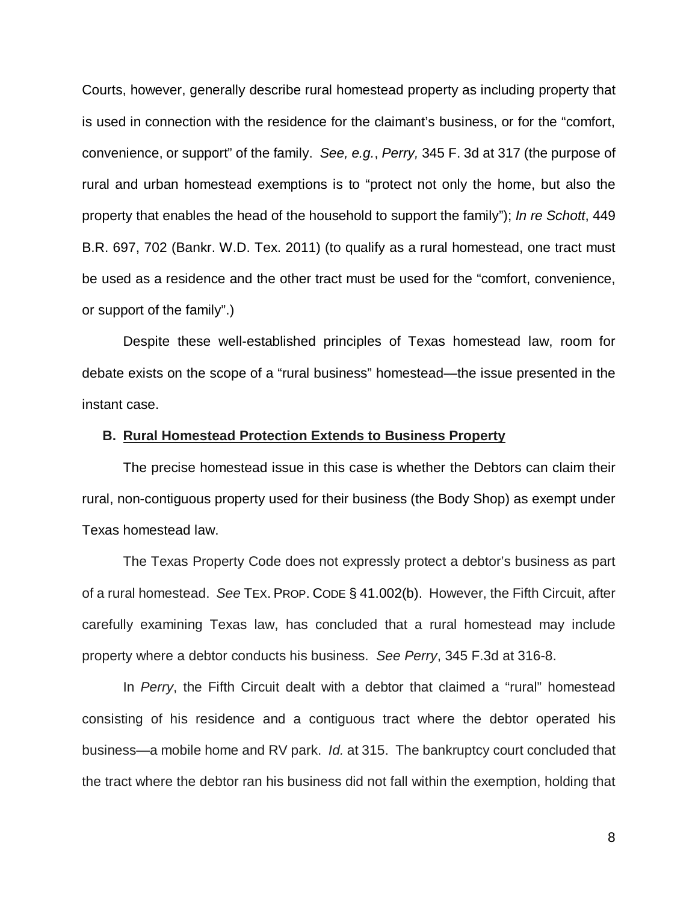Courts, however, generally describe rural homestead property as including property that is used in connection with the residence for the claimant's business, or for the "comfort, convenience, or support" of the family. *See, e.g.*, *Perry,* 345 F. 3d at 317 (the purpose of rural and urban homestead exemptions is to "protect not only the home, but also the property that enables the head of the household to support the family"); *In re Schott*, 449 B.R. 697, 702 (Bankr. W.D. Tex. 2011) (to qualify as a rural homestead, one tract must be used as a residence and the other tract must be used for the "comfort, convenience, or support of the family".)

Despite these well-established principles of Texas homestead law, room for debate exists on the scope of a "rural business" homestead—the issue presented in the instant case.

#### **B. Rural Homestead Protection Extends to Business Property**

The precise homestead issue in this case is whether the Debtors can claim their rural, non-contiguous property used for their business (the Body Shop) as exempt under Texas homestead law.

The Texas Property Code does not expressly protect a debtor's business as part of a rural homestead. *See* TEX. PROP. CODE § 41.002(b). However, the Fifth Circuit, after carefully examining Texas law, has concluded that a rural homestead may include property where a debtor conducts his business. *See Perry*, 345 F.3d at 316-8.

In *Perry*, the Fifth Circuit dealt with a debtor that claimed a "rural" homestead consisting of his residence and a contiguous tract where the debtor operated his business—a mobile home and RV park. *Id.* at 315. The bankruptcy court concluded that the tract where the debtor ran his business did not fall within the exemption, holding that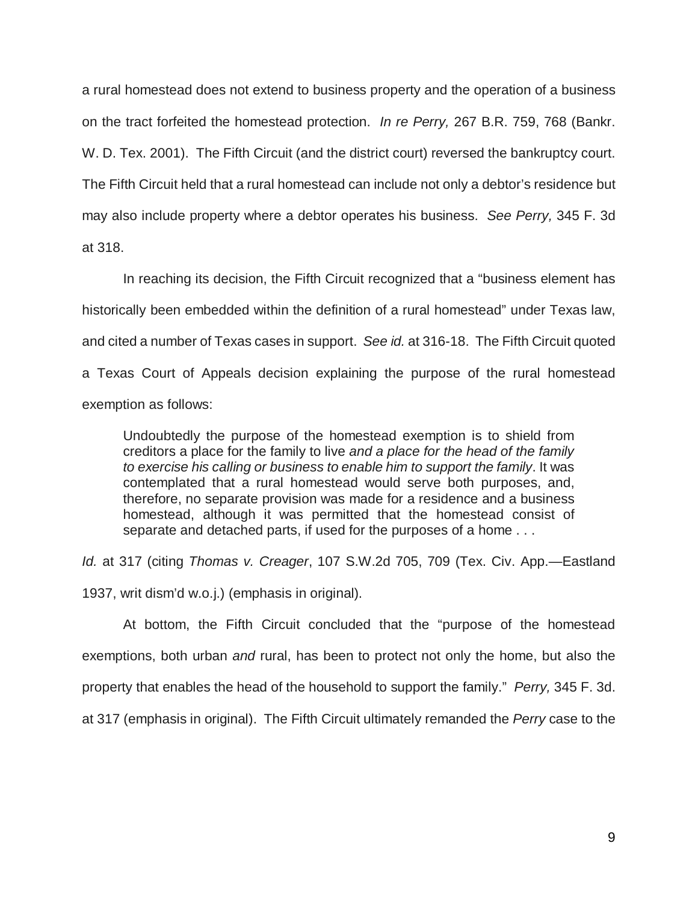a rural homestead does not extend to business property and the operation of a business on the tract forfeited the homestead protection. *In re Perry,* 267 B.R. 759, 768 (Bankr. W. D. Tex. 2001). The Fifth Circuit (and the district court) reversed the bankruptcy court. The Fifth Circuit held that a rural homestead can include not only a debtor's residence but may also include property where a debtor operates his business. *See Perry,* 345 F. 3d at 318.

In reaching its decision, the Fifth Circuit recognized that a "business element has historically been embedded within the definition of a rural homestead" under Texas law, and cited a number of Texas cases in support. *See id.* at 316-18. The Fifth Circuit quoted a Texas Court of Appeals decision explaining the purpose of the rural homestead exemption as follows:

Undoubtedly the purpose of the homestead exemption is to shield from creditors a place for the family to live *and a place for the head of the family to exercise his calling or business to enable him to support the family*. It was contemplated that a rural homestead would serve both purposes, and, therefore, no separate provision was made for a residence and a business homestead, although it was permitted that the homestead consist of separate and detached parts, if used for the purposes of a home . . .

*Id.* at 317 (citing *Thomas v. Creager*, 107 S.W.2d 705, 709 (Tex. Civ. App.—Eastland 1937, writ dism'd w.o.j.) (emphasis in original).

At bottom, the Fifth Circuit concluded that the "purpose of the homestead exemptions, both urban *and* rural, has been to protect not only the home, but also the property that enables the head of the household to support the family." *Perry,* 345 F. 3d. at 317 (emphasis in original). The Fifth Circuit ultimately remanded the *Perry* case to the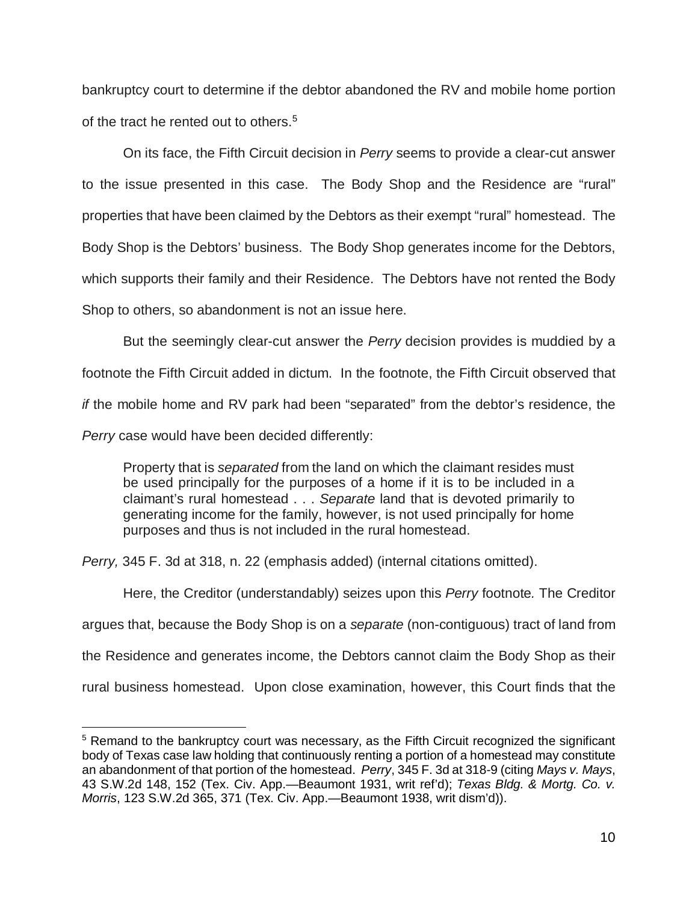bankruptcy court to determine if the debtor abandoned the RV and mobile home portion of the tract he rented out to others. 5

On its face, the Fifth Circuit decision in *Perry* seems to provide a clear-cut answer to the issue presented in this case. The Body Shop and the Residence are "rural" properties that have been claimed by the Debtors as their exempt "rural" homestead. The Body Shop is the Debtors' business. The Body Shop generates income for the Debtors, which supports their family and their Residence. The Debtors have not rented the Body Shop to others, so abandonment is not an issue here.

But the seemingly clear-cut answer the *Perry* decision provides is muddied by a footnote the Fifth Circuit added in dictum. In the footnote, the Fifth Circuit observed that *if* the mobile home and RV park had been "separated" from the debtor's residence, the *Perry* case would have been decided differently:

Property that is *separated* from the land on which the claimant resides must be used principally for the purposes of a home if it is to be included in a claimant's rural homestead . . . *Separate* land that is devoted primarily to generating income for the family, however, is not used principally for home purposes and thus is not included in the rural homestead.

*Perry,* 345 F. 3d at 318, n. 22 (emphasis added) (internal citations omitted).

 $\overline{\phantom{a}}$ 

Here, the Creditor (understandably) seizes upon this *Perry* footnote*.* The Creditor argues that, because the Body Shop is on a *separate* (non-contiguous) tract of land from the Residence and generates income, the Debtors cannot claim the Body Shop as their rural business homestead. Upon close examination, however, this Court finds that the

<sup>&</sup>lt;sup>5</sup> Remand to the bankruptcy court was necessary, as the Fifth Circuit recognized the significant body of Texas case law holding that continuously renting a portion of a homestead may constitute an abandonment of that portion of the homestead. *Perry*, 345 F. 3d at 318-9 (citing *Mays v. Mays*, 43 S.W.2d 148, 152 (Tex. Civ. App.—Beaumont 1931, writ ref'd); *Texas Bldg. & Mortg. Co. v. Morris*, 123 S.W.2d 365, 371 (Tex. Civ. App.—Beaumont 1938, writ dism'd)).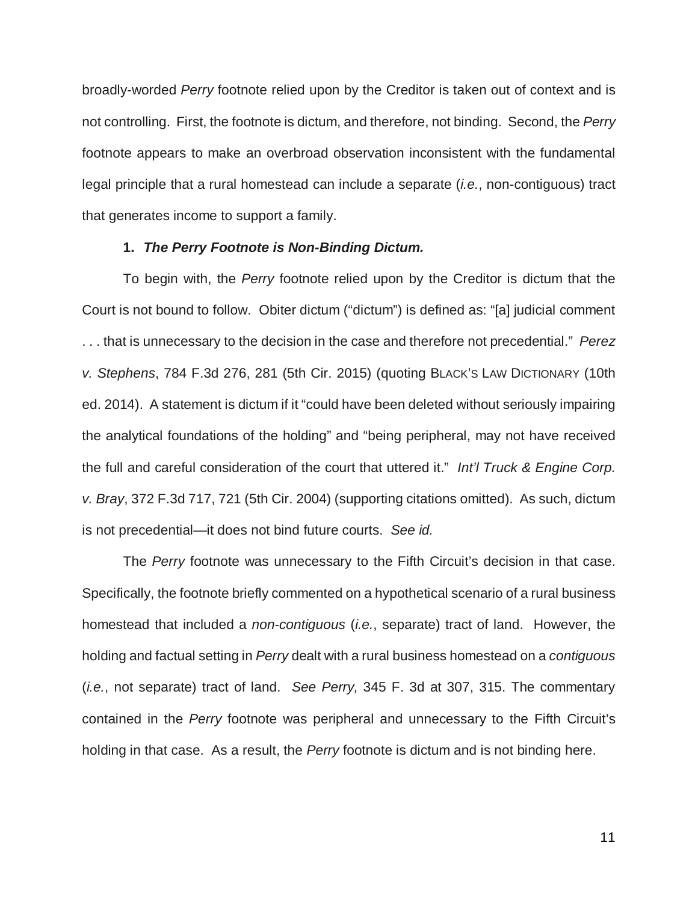broadly-worded *Perry* footnote relied upon by the Creditor is taken out of context and is not controlling. First, the footnote is dictum, and therefore, not binding. Second, the *Perry* footnote appears to make an overbroad observation inconsistent with the fundamental legal principle that a rural homestead can include a separate (*i.e.*, non-contiguous) tract that generates income to support a family.

#### **1.** *The Perry Footnote is Non-Binding Dictum.*

 To begin with, the *Perry* footnote relied upon by the Creditor is dictum that the Court is not bound to follow. Obiter dictum ("dictum") is defined as: "[a] judicial comment . . . that is unnecessary to the decision in the case and therefore not precedential." *Perez v. Stephens*, 784 F.3d 276, 281 (5th Cir. 2015) (quoting BLACK'S LAW DICTIONARY (10th ed. 2014). A statement is dictum if it "could have been deleted without seriously impairing the analytical foundations of the holding" and "being peripheral, may not have received the full and careful consideration of the court that uttered it." *Int'l Truck & Engine Corp. v. Bray*, 372 F.3d 717, 721 (5th Cir. 2004) (supporting citations omitted). As such, dictum is not precedential—it does not bind future courts. *See id.*

The *Perry* footnote was unnecessary to the Fifth Circuit's decision in that case. Specifically, the footnote briefly commented on a hypothetical scenario of a rural business homestead that included a *non-contiguous* (*i.e.*, separate) tract of land. However, the holding and factual setting in *Perry* dealt with a rural business homestead on a *contiguous* (*i.e.*, not separate) tract of land. *See Perry,* 345 F. 3d at 307, 315. The commentary contained in the *Perry* footnote was peripheral and unnecessary to the Fifth Circuit's holding in that case. As a result, the *Perry* footnote is dictum and is not binding here.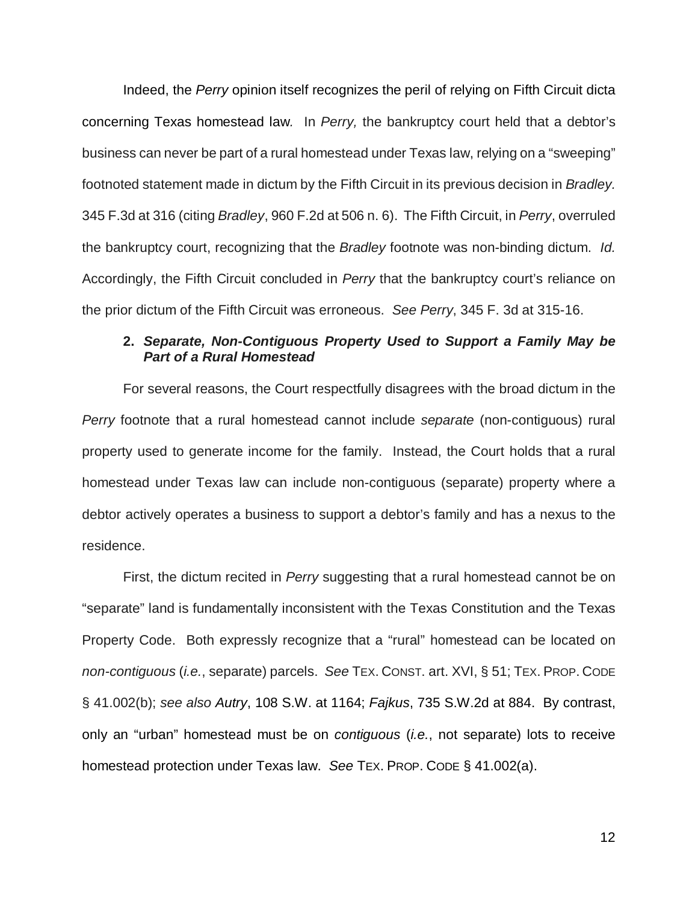Indeed, the *Perry* opinion itself recognizes the peril of relying on Fifth Circuit dicta concerning Texas homestead law*.* In *Perry,* the bankruptcy court held that a debtor's business can never be part of a rural homestead under Texas law, relying on a "sweeping" footnoted statement made in dictum by the Fifth Circuit in its previous decision in *Bradley.* 345 F.3d at 316 (citing *Bradley*, 960 F.2d at 506 n. 6).The Fifth Circuit, in *Perry*, overruled the bankruptcy court, recognizing that the *Bradley* footnote was non-binding dictum. *Id.* Accordingly, the Fifth Circuit concluded in *Perry* that the bankruptcy court's reliance on the prior dictum of the Fifth Circuit was erroneous. *See Perry*, 345 F. 3d at 315-16.

## **2.** *Separate, Non-Contiguous Property Used to Support a Family May be Part of a Rural Homestead*

For several reasons, the Court respectfully disagrees with the broad dictum in the *Perry* footnote that a rural homestead cannot include *separate* (non-contiguous) rural property used to generate income for the family. Instead, the Court holds that a rural homestead under Texas law can include non-contiguous (separate) property where a debtor actively operates a business to support a debtor's family and has a nexus to the residence.

First, the dictum recited in *Perry* suggesting that a rural homestead cannot be on "separate" land is fundamentally inconsistent with the Texas Constitution and the Texas Property Code. Both expressly recognize that a "rural" homestead can be located on *non-contiguous* (*i.e.*, separate) parcels. *See* TEX. CONST. art. XVI, § 51; TEX. PROP. CODE § 41.002(b); *see also Autry*, 108 S.W. at 1164; *Fajkus*, 735 S.W.2d at 884. By contrast, only an "urban" homestead must be on *contiguous* (*i.e.*, not separate) lots to receive homestead protection under Texas law. *See* TEX. PROP. CODE § 41.002(a).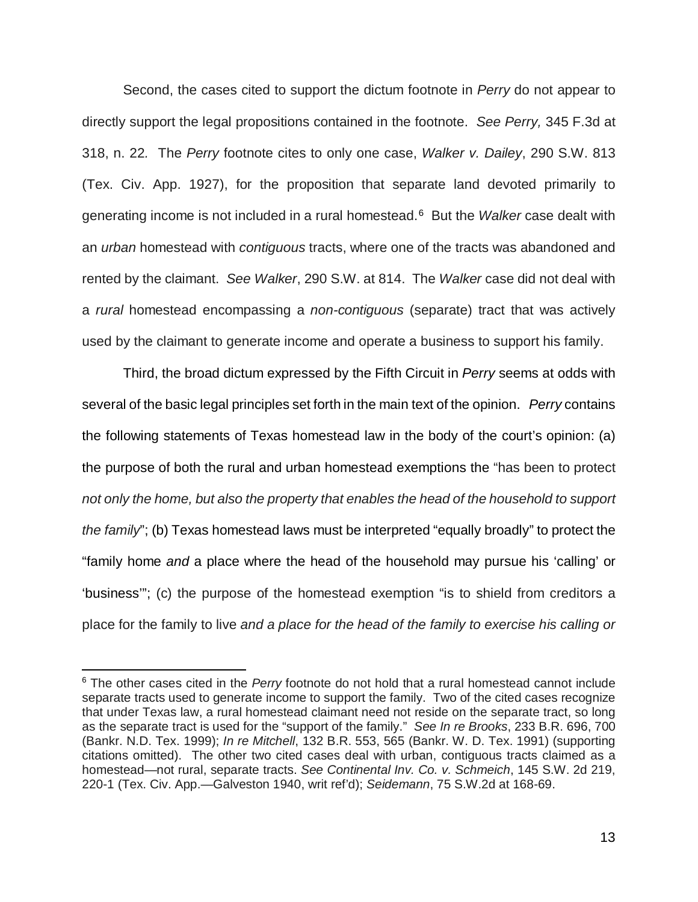Second, the cases cited to support the dictum footnote in *Perry* do not appear to directly support the legal propositions contained in the footnote. *See Perry,* 345 F.3d at 318, n. 22*.* The *Perry* footnote cites to only one case, *Walker v. Dailey*, 290 S.W. 813 (Tex. Civ. App. 1927), for the proposition that separate land devoted primarily to generating income is not included in a rural homestead.6 But the *Walker* case dealt with an *urban* homestead with *contiguous* tracts, where one of the tracts was abandoned and rented by the claimant. *See Walker*, 290 S.W. at 814. The *Walker* case did not deal with a *rural* homestead encompassing a *non-contiguous* (separate) tract that was actively used by the claimant to generate income and operate a business to support his family.

Third, the broad dictum expressed by the Fifth Circuit in *Perry* seems at odds with several of the basic legal principles set forth in the main text of the opinion. *Perry* contains the following statements of Texas homestead law in the body of the court's opinion: (a) the purpose of both the rural and urban homestead exemptions the "has been to protect *not only the home, but also the property that enables the head of the household to support the family*"; (b) Texas homestead laws must be interpreted "equally broadly" to protect the "family home *and* a place where the head of the household may pursue his 'calling' or 'business'"; (c) the purpose of the homestead exemption "is to shield from creditors a place for the family to live *and a place for the head of the family to exercise his calling or* 

 $\overline{\phantom{a}}$ 

<sup>6</sup> The other cases cited in the *Perry* footnote do not hold that a rural homestead cannot include separate tracts used to generate income to support the family. Two of the cited cases recognize that under Texas law, a rural homestead claimant need not reside on the separate tract, so long as the separate tract is used for the "support of the family." *See In re Brooks*, 233 B.R. 696, 700 (Bankr. N.D. Tex. 1999); *In re Mitchell*, 132 B.R. 553, 565 (Bankr. W. D. Tex. 1991) (supporting citations omitted). The other two cited cases deal with urban, contiguous tracts claimed as a homestead—not rural, separate tracts. *See Continental Inv. Co. v. Schmeich*, 145 S.W. 2d 219, 220-1 (Tex. Civ. App.—Galveston 1940, writ ref'd); *Seidemann*, 75 S.W.2d at 168-69.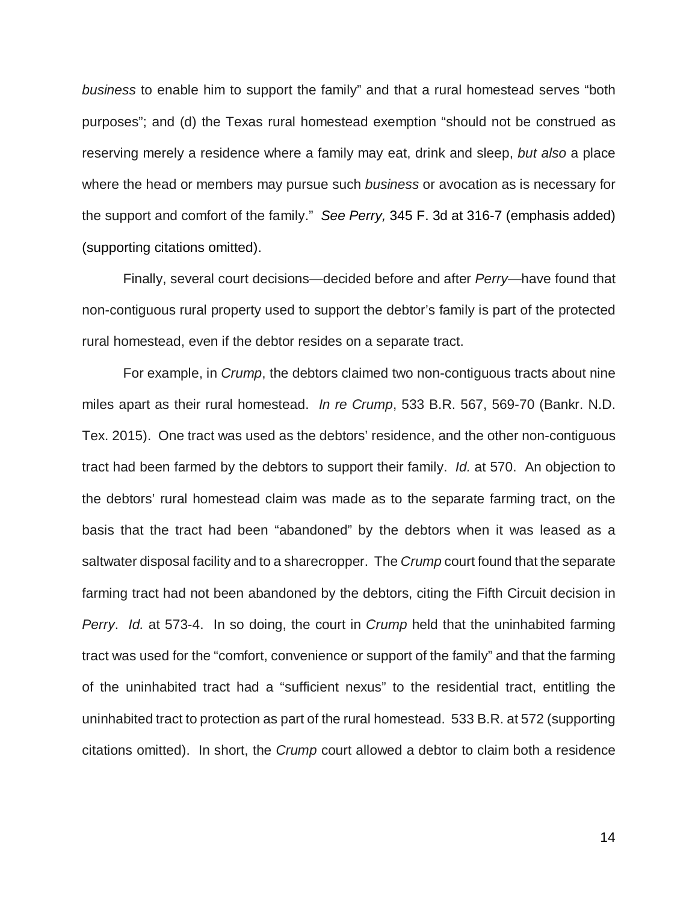*business* to enable him to support the family" and that a rural homestead serves "both purposes"; and (d) the Texas rural homestead exemption "should not be construed as reserving merely a residence where a family may eat, drink and sleep, *but also* a place where the head or members may pursue such *business* or avocation as is necessary for the support and comfort of the family." *See Perry,* 345 F. 3d at 316-7 (emphasis added) (supporting citations omitted).

Finally, several court decisions—decided before and after *Perry*—have found that non-contiguous rural property used to support the debtor's family is part of the protected rural homestead, even if the debtor resides on a separate tract.

 For example, in *Crump*, the debtors claimed two non-contiguous tracts about nine miles apart as their rural homestead. *In re Crump*, 533 B.R. 567, 569-70 (Bankr. N.D. Tex. 2015). One tract was used as the debtors' residence, and the other non-contiguous tract had been farmed by the debtors to support their family. *Id.* at 570. An objection to the debtors' rural homestead claim was made as to the separate farming tract, on the basis that the tract had been "abandoned" by the debtors when it was leased as a saltwater disposal facility and to a sharecropper. The *Crump* court found that the separate farming tract had not been abandoned by the debtors, citing the Fifth Circuit decision in *Perry*. *Id.* at 573-4. In so doing, the court in *Crump* held that the uninhabited farming tract was used for the "comfort, convenience or support of the family" and that the farming of the uninhabited tract had a "sufficient nexus" to the residential tract, entitling the uninhabited tract to protection as part of the rural homestead. 533 B.R. at 572 (supporting citations omitted). In short, the *Crump* court allowed a debtor to claim both a residence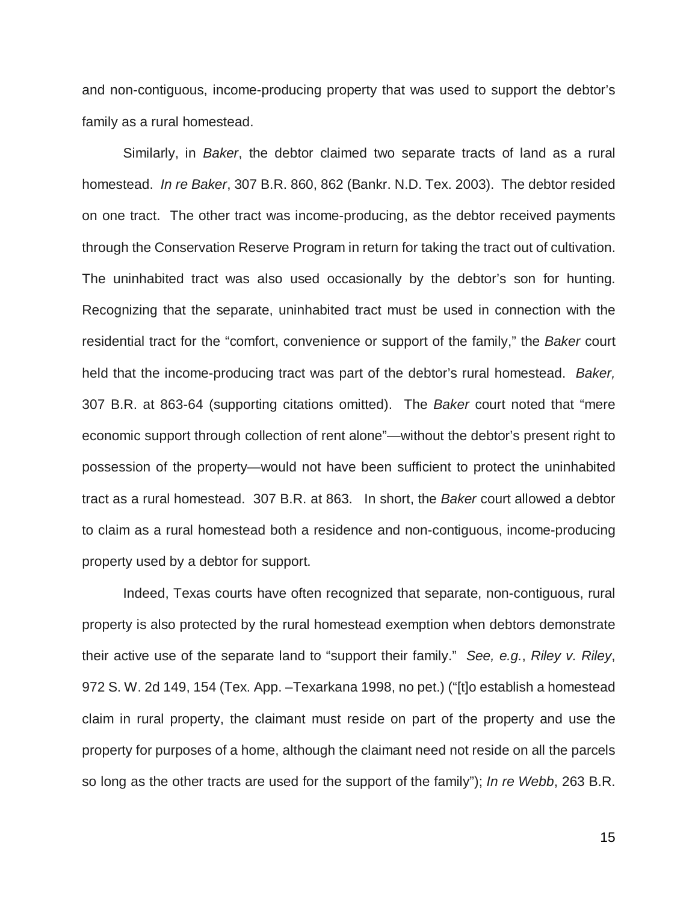and non-contiguous, income-producing property that was used to support the debtor's family as a rural homestead.

Similarly, in *Baker*, the debtor claimed two separate tracts of land as a rural homestead. *In re Baker*, 307 B.R. 860, 862 (Bankr. N.D. Tex. 2003). The debtor resided on one tract. The other tract was income-producing, as the debtor received payments through the Conservation Reserve Program in return for taking the tract out of cultivation. The uninhabited tract was also used occasionally by the debtor's son for hunting. Recognizing that the separate, uninhabited tract must be used in connection with the residential tract for the "comfort, convenience or support of the family," the *Baker* court held that the income-producing tract was part of the debtor's rural homestead. *Baker,* 307 B.R. at 863-64 (supporting citations omitted). The *Baker* court noted that "mere economic support through collection of rent alone"—without the debtor's present right to possession of the property—would not have been sufficient to protect the uninhabited tract as a rural homestead. 307 B.R. at 863. In short, the *Baker* court allowed a debtor to claim as a rural homestead both a residence and non-contiguous, income-producing property used by a debtor for support.

Indeed, Texas courts have often recognized that separate, non-contiguous, rural property is also protected by the rural homestead exemption when debtors demonstrate their active use of the separate land to "support their family." *See, e.g.*, *Riley v. Riley*, 972 S. W. 2d 149, 154 (Tex. App. –Texarkana 1998, no pet.) ("[t]o establish a homestead claim in rural property, the claimant must reside on part of the property and use the property for purposes of a home, although the claimant need not reside on all the parcels so long as the other tracts are used for the support of the family"); *In re Webb*, 263 B.R.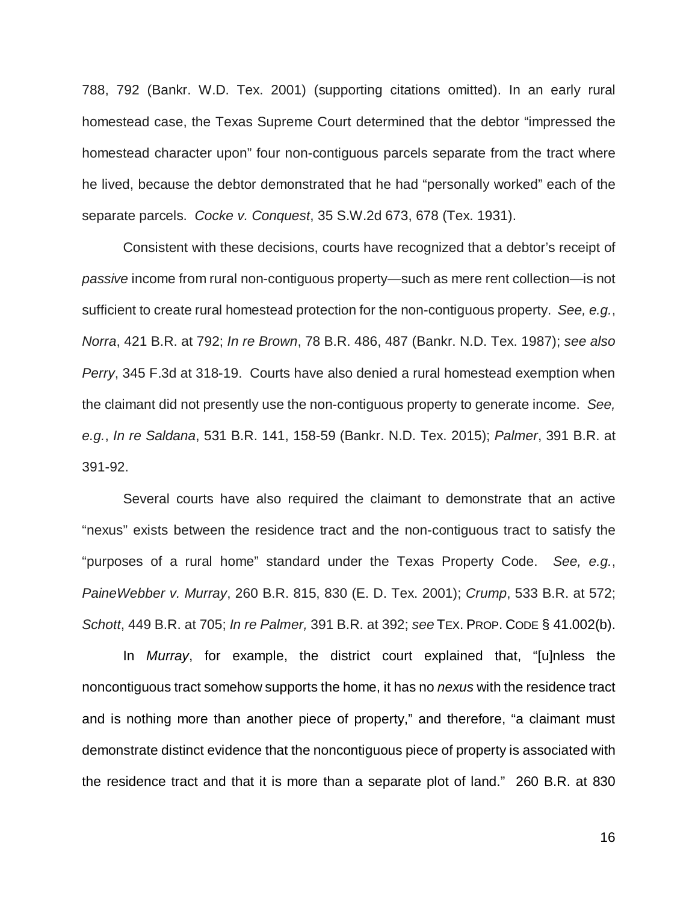788, 792 (Bankr. W.D. Tex. 2001) (supporting citations omitted). In an early rural homestead case, the Texas Supreme Court determined that the debtor "impressed the homestead character upon" four non-contiguous parcels separate from the tract where he lived, because the debtor demonstrated that he had "personally worked" each of the separate parcels. *Cocke v. Conquest*, 35 S.W.2d 673, 678 (Tex. 1931).

Consistent with these decisions, courts have recognized that a debtor's receipt of *passive* income from rural non-contiguous property—such as mere rent collection—is not sufficient to create rural homestead protection for the non-contiguous property. *See, e.g.*, *Norra*, 421 B.R. at 792; *In re Brown*, 78 B.R. 486, 487 (Bankr. N.D. Tex. 1987); *see also Perry*, 345 F.3d at 318-19. Courts have also denied a rural homestead exemption when the claimant did not presently use the non-contiguous property to generate income. *See, e.g.*, *In re Saldana*, 531 B.R. 141, 158-59 (Bankr. N.D. Tex. 2015); *Palmer*, 391 B.R. at 391-92.

Several courts have also required the claimant to demonstrate that an active "nexus" exists between the residence tract and the non-contiguous tract to satisfy the "purposes of a rural home" standard under the Texas Property Code. *See, e.g.*, *PaineWebber v. Murray*, 260 B.R. 815, 830 (E. D. Tex. 2001); *Crump*, 533 B.R. at 572; *Schott*, 449 B.R. at 705; *In re Palmer,* 391 B.R. at 392; *see* TEX. PROP. CODE § 41.002(b).

In *Murray*, for example, the district court explained that, "[u]nless the noncontiguous tract somehow supports the home, it has no *nexus* with the residence tract and is nothing more than another piece of property," and therefore, "a claimant must demonstrate distinct evidence that the noncontiguous piece of property is associated with the residence tract and that it is more than a separate plot of land." 260 B.R. at 830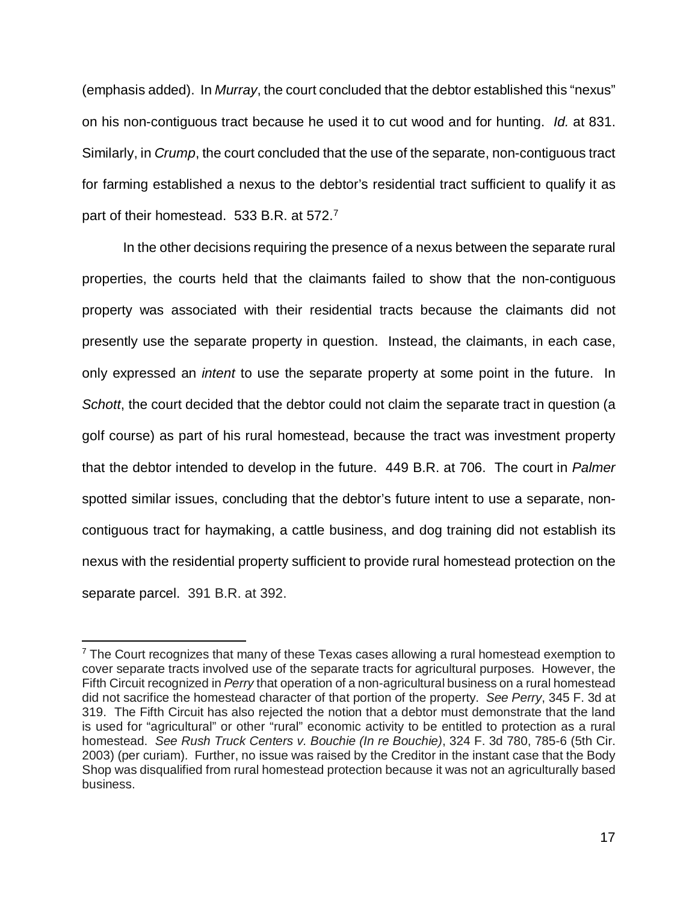(emphasis added). In *Murray*, the court concluded that the debtor established this "nexus" on his non-contiguous tract because he used it to cut wood and for hunting. *Id.* at 831. Similarly, in *Crump*, the court concluded that the use of the separate, non-contiguous tract for farming established a nexus to the debtor's residential tract sufficient to qualify it as part of their homestead. 533 B.R. at 572.<sup>7</sup>

In the other decisions requiring the presence of a nexus between the separate rural properties, the courts held that the claimants failed to show that the non-contiguous property was associated with their residential tracts because the claimants did not presently use the separate property in question. Instead, the claimants, in each case, only expressed an *intent* to use the separate property at some point in the future. In *Schott*, the court decided that the debtor could not claim the separate tract in question (a golf course) as part of his rural homestead, because the tract was investment property that the debtor intended to develop in the future. 449 B.R. at 706. The court in *Palmer* spotted similar issues, concluding that the debtor's future intent to use a separate, noncontiguous tract for haymaking, a cattle business, and dog training did not establish its nexus with the residential property sufficient to provide rural homestead protection on the separate parcel. 391 B.R. at 392.

 $\overline{\phantom{a}}$ 

 $<sup>7</sup>$  The Court recognizes that many of these Texas cases allowing a rural homestead exemption to</sup> cover separate tracts involved use of the separate tracts for agricultural purposes. However, the Fifth Circuit recognized in *Perry* that operation of a non-agricultural business on a rural homestead did not sacrifice the homestead character of that portion of the property. *See Perry*, 345 F. 3d at 319. The Fifth Circuit has also rejected the notion that a debtor must demonstrate that the land is used for "agricultural" or other "rural" economic activity to be entitled to protection as a rural homestead. *See Rush Truck Centers v. Bouchie (In re Bouchie)*, 324 F. 3d 780, 785-6 (5th Cir. 2003) (per curiam). Further, no issue was raised by the Creditor in the instant case that the Body Shop was disqualified from rural homestead protection because it was not an agriculturally based business.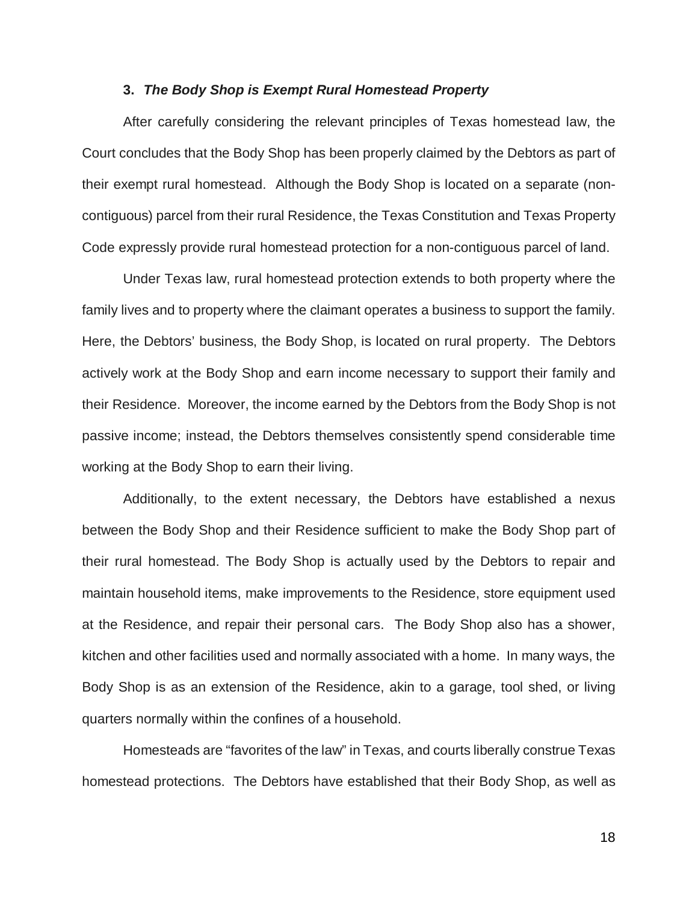#### **3.** *The Body Shop is Exempt Rural Homestead Property*

After carefully considering the relevant principles of Texas homestead law, the Court concludes that the Body Shop has been properly claimed by the Debtors as part of their exempt rural homestead. Although the Body Shop is located on a separate (noncontiguous) parcel from their rural Residence, the Texas Constitution and Texas Property Code expressly provide rural homestead protection for a non-contiguous parcel of land.

Under Texas law, rural homestead protection extends to both property where the family lives and to property where the claimant operates a business to support the family. Here, the Debtors' business, the Body Shop, is located on rural property. The Debtors actively work at the Body Shop and earn income necessary to support their family and their Residence. Moreover, the income earned by the Debtors from the Body Shop is not passive income; instead, the Debtors themselves consistently spend considerable time working at the Body Shop to earn their living.

Additionally, to the extent necessary, the Debtors have established a nexus between the Body Shop and their Residence sufficient to make the Body Shop part of their rural homestead. The Body Shop is actually used by the Debtors to repair and maintain household items, make improvements to the Residence, store equipment used at the Residence, and repair their personal cars. The Body Shop also has a shower, kitchen and other facilities used and normally associated with a home. In many ways, the Body Shop is as an extension of the Residence, akin to a garage, tool shed, or living quarters normally within the confines of a household.

Homesteads are "favorites of the law" in Texas, and courts liberally construe Texas homestead protections. The Debtors have established that their Body Shop, as well as